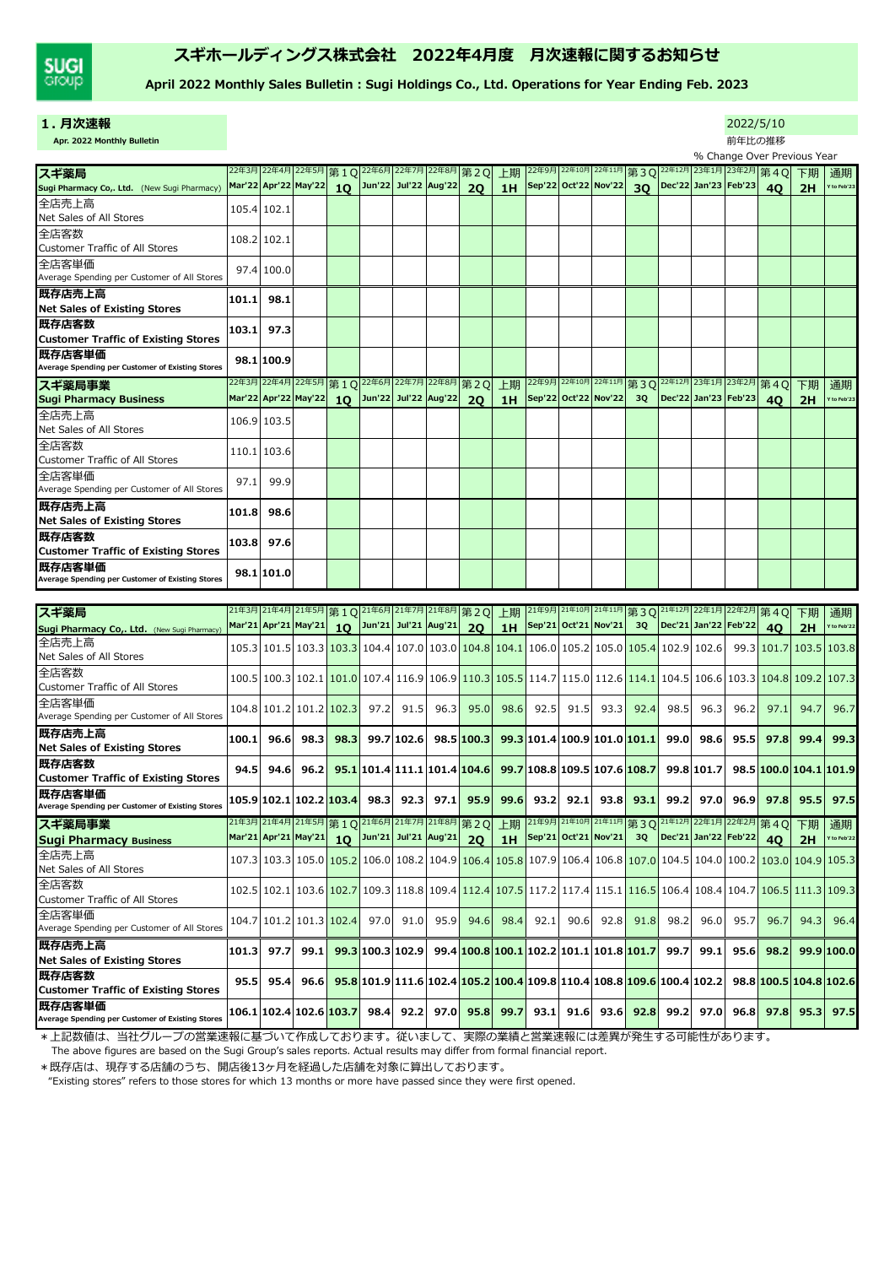

# スギホールディングス株式会社 2022年4月度 月次速報に関するお知らせ

April 2022 Monthly Sales Bulletin : Sugi Holdings Co., Ltd. Operations for Year Ending Feb. 2023

| 1.月次速報                                                                                                           |       |                      |                                                                                                                                                 |                 |                         |            |      |                                                                           |      |                                                |                      |                                                                               |                 |      |                      | 2022/5/10 |                                                                                                                                                                                                                  |          |             |
|------------------------------------------------------------------------------------------------------------------|-------|----------------------|-------------------------------------------------------------------------------------------------------------------------------------------------|-----------------|-------------------------|------------|------|---------------------------------------------------------------------------|------|------------------------------------------------|----------------------|-------------------------------------------------------------------------------|-----------------|------|----------------------|-----------|------------------------------------------------------------------------------------------------------------------------------------------------------------------------------------------------------------------|----------|-------------|
| Apr. 2022 Monthly Bulletin                                                                                       |       |                      |                                                                                                                                                 |                 |                         |            |      |                                                                           |      |                                                |                      |                                                                               |                 |      |                      | 前年比の推移    |                                                                                                                                                                                                                  |          |             |
|                                                                                                                  |       |                      |                                                                                                                                                 |                 |                         |            |      |                                                                           |      |                                                |                      |                                                                               |                 |      |                      |           | % Change Over Previous Year                                                                                                                                                                                      |          |             |
| スギ薬局                                                                                                             | 22年3月 | 22年4月                | 22年5月                                                                                                                                           |                 | 第10 22年6月 22年7月 22年8月   |            |      | 第2Q                                                                       | 上期   | 22年9月                                          | 22年10月               | 22年11月                                                                        | 第30 22年12月      |      |                      |           | 23年1月 23年2月 第4Q                                                                                                                                                                                                  | 下期       | 通期          |
| Sugi Pharmacy Co,. Ltd. (New Sugi Pharmacy)                                                                      |       |                      | Mar'22 Apr'22 May'22                                                                                                                            | 10 <sup>1</sup> | Jun'22 Jul'22 Aug'22    |            |      | 20                                                                        | 1H   |                                                | Sep'22 Oct'22 Nov'22 |                                                                               | 30 <sup>°</sup> |      | Dec'22 Jan'23 Feb'23 |           | 40                                                                                                                                                                                                               | 2H       | Y to Feb'23 |
| 全店売上高<br>Net Sales of All Stores                                                                                 |       | 105.4 102.1          |                                                                                                                                                 |                 |                         |            |      |                                                                           |      |                                                |                      |                                                                               |                 |      |                      |           |                                                                                                                                                                                                                  |          |             |
| 全店客数<br><b>Customer Traffic of All Stores</b>                                                                    |       | 108.2 102.1          |                                                                                                                                                 |                 |                         |            |      |                                                                           |      |                                                |                      |                                                                               |                 |      |                      |           |                                                                                                                                                                                                                  |          |             |
| 全店客単価<br>Average Spending per Customer of All Stores                                                             |       | 97.4 100.0           |                                                                                                                                                 |                 |                         |            |      |                                                                           |      |                                                |                      |                                                                               |                 |      |                      |           |                                                                                                                                                                                                                  |          |             |
| 既存店売上高<br><b>Net Sales of Existing Stores</b>                                                                    | 101.1 | 98.1                 |                                                                                                                                                 |                 |                         |            |      |                                                                           |      |                                                |                      |                                                                               |                 |      |                      |           |                                                                                                                                                                                                                  |          |             |
| <b> 既存店客数</b><br><b>Customer Traffic of Existing Stores</b>                                                      | 103.1 | 97.3                 |                                                                                                                                                 |                 |                         |            |      |                                                                           |      |                                                |                      |                                                                               |                 |      |                      |           |                                                                                                                                                                                                                  |          |             |
| 既存店客単価<br>Average Spending per Customer of Existing Stores                                                       |       | 98.1 100.9           |                                                                                                                                                 |                 |                         |            |      |                                                                           |      |                                                |                      |                                                                               |                 |      |                      |           |                                                                                                                                                                                                                  |          |             |
| スギ薬局事業                                                                                                           |       |                      | 22年3月 22年4月 22年5月 第 1 Q 22年6月 22年7月 22年8月 第 2 Q                                                                                                 |                 |                         |            |      |                                                                           | 上期   |                                                |                      | 22年9月 <sup>22年10月</sup> <sup>22年11月</sup> 第30 <sup>22年12月</sup> 23年1月23年2月第40 |                 |      |                      |           |                                                                                                                                                                                                                  | 下期       | 通期          |
| <b>Sugi Pharmacy Business</b>                                                                                    |       | Mar'22 Apr'22 May'22 |                                                                                                                                                 |                 | 10 Jun'22 Jul'22 Aug'22 |            |      | <b>20</b>                                                                 | 1H   | Sep'22 Oct'22 Nov'22                           |                      |                                                                               | 30              |      | Dec'22 Jan'23 Feb'23 |           | 40                                                                                                                                                                                                               | 2H       | Y to Feb'23 |
| 全店売上高<br>Net Sales of All Stores                                                                                 |       | 106.9 103.5          |                                                                                                                                                 |                 |                         |            |      |                                                                           |      |                                                |                      |                                                                               |                 |      |                      |           |                                                                                                                                                                                                                  |          |             |
| 全店客数<br><b>Customer Traffic of All Stores</b>                                                                    |       | 110.1 103.6          |                                                                                                                                                 |                 |                         |            |      |                                                                           |      |                                                |                      |                                                                               |                 |      |                      |           |                                                                                                                                                                                                                  |          |             |
| 全店客単価<br>Average Spending per Customer of All Stores                                                             | 97.1  | 99.9                 |                                                                                                                                                 |                 |                         |            |      |                                                                           |      |                                                |                      |                                                                               |                 |      |                      |           |                                                                                                                                                                                                                  |          |             |
| 既存店売上高<br><b>Net Sales of Existing Stores</b>                                                                    | 101.8 | 98.6                 |                                                                                                                                                 |                 |                         |            |      |                                                                           |      |                                                |                      |                                                                               |                 |      |                      |           |                                                                                                                                                                                                                  |          |             |
| 既存店客数<br><b>Customer Traffic of Existing Stores</b>                                                              | 103.8 | 97.6                 |                                                                                                                                                 |                 |                         |            |      |                                                                           |      |                                                |                      |                                                                               |                 |      |                      |           |                                                                                                                                                                                                                  |          |             |
| 既存店客単価<br>Average Spending per Customer of Existing Stores                                                       |       | 98.1 101.0           |                                                                                                                                                 |                 |                         |            |      |                                                                           |      |                                                |                      |                                                                               |                 |      |                      |           |                                                                                                                                                                                                                  |          |             |
|                                                                                                                  |       |                      |                                                                                                                                                 |                 |                         |            |      |                                                                           |      |                                                |                      |                                                                               |                 |      |                      |           |                                                                                                                                                                                                                  |          |             |
| スギ薬局                                                                                                             |       |                      | 21年3月21年4月21年5月第1Q21年6月21年7月21年8月第2Q                                                                                                            |                 |                         |            |      |                                                                           | 上期   | 21年9月 21年10月 21年11月 第3Q 21年12月 22年1月 22年2月 第4Q |                      |                                                                               |                 |      |                      |           |                                                                                                                                                                                                                  | 下期       | 通期          |
| Sugi Pharmacy Co,. Ltd. (New Sugi Pharmacy)                                                                      |       | Mar'21 Apr'21 May'21 |                                                                                                                                                 | 10 <sup>2</sup> | Jun'21 Jul'21 Aug'21    |            |      | 20                                                                        | 1H   | <b>Sep'21</b>                                  | Oct'21 Nov'21        |                                                                               | 3Q              |      | Dec'21 Jan'22 Feb'22 |           | 40                                                                                                                                                                                                               | 2H       | Y to Feb'22 |
| 全店売上高<br>Net Sales of All Stores                                                                                 |       |                      | 105.3   101.5   103.3 <mark>  103.3</mark>   104.4   107.0   103.0   104.8   104.1   106.0   105.2   105.0   <mark>105.4</mark>   102.9   102.6 |                 |                         |            |      |                                                                           |      |                                                |                      |                                                                               |                 |      |                      |           | 99.3 101.7                                                                                                                                                                                                       | 103.5    | 103.8       |
| 全店客数<br><b>Customer Traffic of All Stores</b>                                                                    |       |                      |                                                                                                                                                 |                 |                         |            |      |                                                                           |      |                                                |                      |                                                                               |                 |      |                      |           | 109.2 <mark>  109.2  101.0  107.3  104.8  105.9  106.9  106.9  107.3  105.5  114.7  115.0  112.6  <mark>114.1 </mark> 104.5  106.6  103.3  <mark>104.8  109.2  107.3</mark></mark>                               |          |             |
| 全店客単価<br>Average Spending per Customer of All Stores                                                             |       |                      | 104.8 101.2 101.2 102.3                                                                                                                         |                 | 97.2                    | 91.5       | 96.3 | 95.0                                                                      | 98.6 | 92.5                                           | 91.5                 | 93.3                                                                          | 92.4            | 98.5 | 96.3                 | 96.2      | 97.1                                                                                                                                                                                                             | 94.7     | 96.7        |
| 既存店売上高                                                                                                           | 100.1 | 96.6                 | 98.3                                                                                                                                            | 98.3            |                         | 99.7 102.6 |      | 98.5 100.3                                                                |      | 99.3 101.4 100.9 101.0 101.1                   |                      |                                                                               |                 | 99.0 | 98.6                 | 95.5      | 97.8                                                                                                                                                                                                             | 99.4     | 99.3        |
| <b>Net Sales of Existing Stores</b><br><b> 既存店客数</b>                                                             | 94.5  | 94.6                 | 96.2                                                                                                                                            |                 |                         |            |      | $95.1$  101.4 111.1 101.4 104.6  99.7 108.8 109.5 107.6 108.7  99.8 101.7 |      |                                                |                      |                                                                               |                 |      |                      |           | 98.5 100.0 104.1 101.9                                                                                                                                                                                           |          |             |
| <b>Customer Traffic of Existing Stores</b><br><b> 既存店客単価</b><br>Average Spending per Customer of Existing Stores |       |                      | 105.9 102.1 102.2 <mark>103.4</mark>                                                                                                            |                 | 98.3                    | 92.3       | 97.1 | 95.9                                                                      | 99.6 | 93.2                                           | 92.1                 | 93.8                                                                          | 93.1            | 99.2 | 97.0                 | 96.9      | 97.8                                                                                                                                                                                                             | 95.5     | 97.5        |
|                                                                                                                  |       |                      | 21年3月 21年4月 21年5月 第10                                                                                                                           |                 |                         |            |      | 21年6月 21年7月 21年8月 第2Q                                                     | 上期   |                                                |                      | 21年9月 21年10月 21年11月 第30                                                       |                 |      |                      |           | 21年12月22年1月22年2月第40                                                                                                                                                                                              |          | 通期          |
| スギ薬局事業<br><b>Sugi Pharmacy Business</b>                                                                          |       | Mar'21 Apr'21 May'21 |                                                                                                                                                 | 10 <sup>°</sup> | Jun'21 Jul'21 Aug'21    |            |      | 20                                                                        | 1H   |                                                | Sep'21 Oct'21 Nov'21 |                                                                               | 3Q              |      | Dec'21 Jan'22 Feb'22 |           | 40                                                                                                                                                                                                               | 下期<br>2H | Y to Feb'22 |
| 全店売上高<br>Net Sales of All Stores                                                                                 |       |                      |                                                                                                                                                 |                 |                         |            |      |                                                                           |      |                                                |                      |                                                                               |                 |      |                      |           | 107.3 103.3 105.0 105.2 106.0 108.2 104.9 106.4 105.8 107.9 106.4 106.8 107.0 104.5 104.0 100.2 <mark>103.0 104.9</mark>                                                                                         |          | 105.3       |
| 全店客数<br>Customer Traffic of All Stores                                                                           |       |                      |                                                                                                                                                 |                 |                         |            |      |                                                                           |      |                                                |                      |                                                                               |                 |      |                      |           | 109.3 <mark>.102.5   102.1   103.6   102.7</mark>   109.3   118.8   109.4 <mark>  112.4   107.5</mark>   117.2   117.4   115.1 <mark>  116.5</mark>   106.4   108.4   104.7 <mark>  106.5   111.3   109.3</mark> |          |             |
| 全店客単価<br>Average Spending per Customer of All Stores                                                             |       |                      | 104.7   101.2   101.3   102.4                                                                                                                   |                 | 97.0                    | 91.0       | 95.9 | 94.6                                                                      | 98.4 | 92.1                                           | 90.6                 | 92.8                                                                          | 91.8            | 98.2 | 96.0                 | 95.7      | 96.7                                                                                                                                                                                                             | 94.3     | 96.4        |
| 既存店売上高                                                                                                           | 101.3 | 97.7                 | 99.1                                                                                                                                            |                 | 99.3 100.3 102.9        |            |      | 99.4 100.8 100.1 102.2 101.1 101.8 101.7                                  |      |                                                |                      |                                                                               |                 | 99.7 | 99.1                 | 95.6      | 98.2                                                                                                                                                                                                             |          | 99.9 100.0  |
| <b>Net Sales of Existing Stores</b><br> 既存店客数                                                                    | 95.5  | 95.4                 | 96.6                                                                                                                                            |                 |                         |            |      | 95.8 101.9 111.6 102.4 105.2 100.4 109.8 110.4 108.8 109.6 100.4 102.2    |      |                                                |                      |                                                                               |                 |      |                      |           | 98.8 100.5 104.8 102.6                                                                                                                                                                                           |          |             |
| <b>Customer Traffic of Existing Stores</b><br><b> 既存店客単価</b>                                                     |       |                      | 106.1 102.4 102.6 <mark>103.7</mark>                                                                                                            |                 | 98.4                    | 92.2       | 97.0 | 95.8                                                                      | 99.7 | 93.1                                           | 91.6                 | 93.6                                                                          | 92.8            | 99.2 | 97.0                 | 96.8      | 97.8                                                                                                                                                                                                             | 95.3     | 97.5        |
| Average Spending per Customer of Existing Stores                                                                 |       |                      |                                                                                                                                                 |                 |                         |            |      |                                                                           |      |                                                |                      |                                                                               |                 |      |                      |           |                                                                                                                                                                                                                  |          |             |

\*上記数値は、当社グループの営業速報に基づいて作成しております。従いまして、実際の業績と営業速報には差異が発⽣する可能性があります。

The above figures are based on the Sugi Group's sales reports. Actual results may differ from formal financial report.

\*既存店は、現存する店舗のうち、開店後13ヶ⽉を経過した店舗を対象に算出しております。

"Existing stores" refers to those stores for which 13 months or more have passed since they were first opened.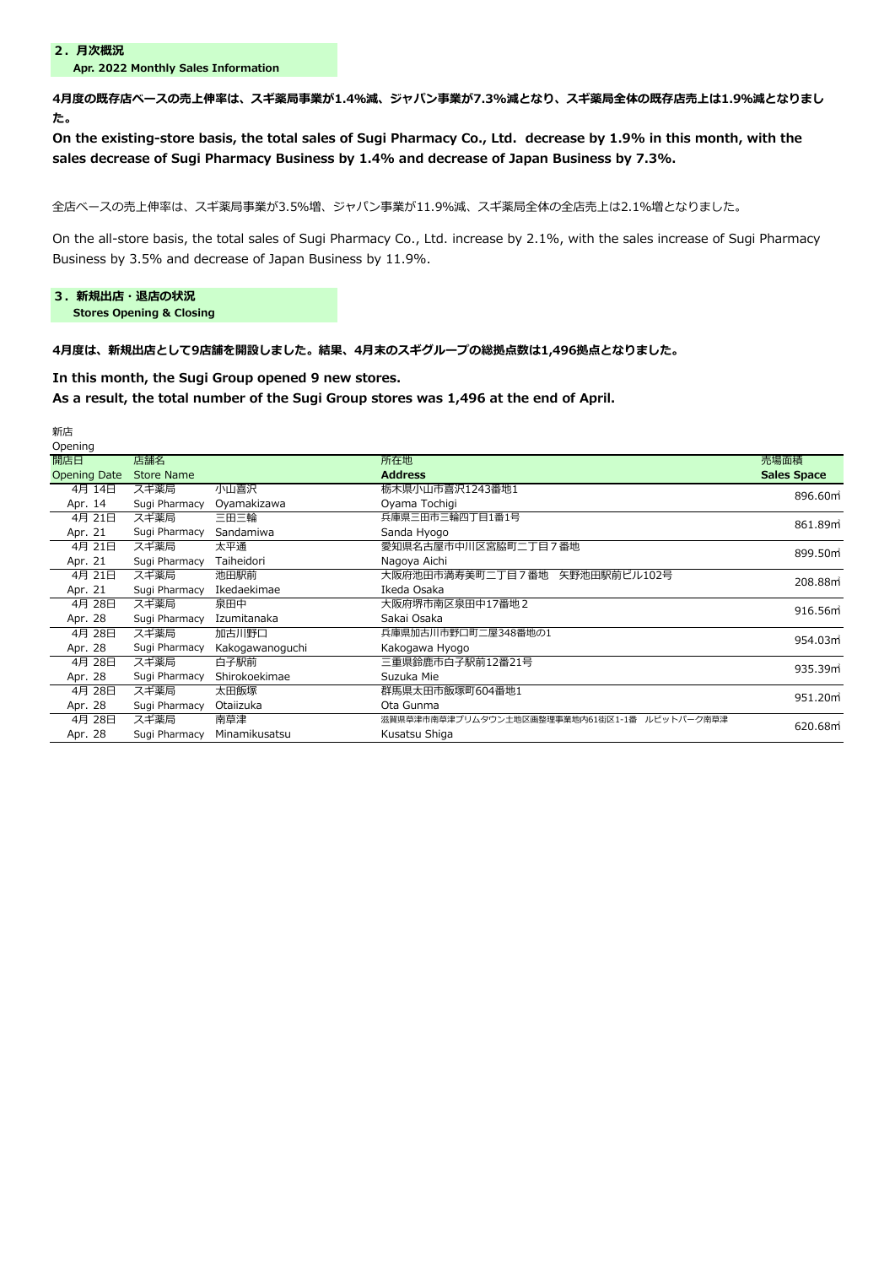Apr. 2022 Monthly Sales Information

4月度の既存店ベースの売上伸率は、スギ薬局事業が1.4%減、ジャパン事業が7.3%減となり、スギ薬局全体の既存店売上は1.9%減となりまし

た。

On the existing-store basis, the total sales of Sugi Pharmacy Co., Ltd. decrease by 1.9% in this month, with the sales decrease of Sugi Pharmacy Business by 1.4% and decrease of Japan Business by 7.3%.

全店ベースの売上伸率は、スギ薬局事業が3.5%増、ジャパン事業が11.9%減、スギ薬局全体の全店売上は2.1%増となりました。

On the all-store basis, the total sales of Sugi Pharmacy Co., Ltd. increase by 2.1%, with the sales increase of Sugi Pharmacy Business by 3.5% and decrease of Japan Business by 11.9%.

## 3. 新規出店・退店の状況

Stores Opening & Closing

#### 4月度は、新規出店として9店舗を開設しました。結果、4月末のスギグループの総拠点数は1,496拠点となりました。

In this month, the Sugi Group opened 9 new stores.

## As a result, the total number of the Sugi Group stores was 1,496 at the end of April.

| 新店                  |                   |                 |                                              |                    |
|---------------------|-------------------|-----------------|----------------------------------------------|--------------------|
| Opening             |                   |                 |                                              |                    |
| 開店日                 | 店舗名               |                 | 所在地                                          | 売場面積               |
| <b>Opening Date</b> | <b>Store Name</b> |                 | <b>Address</b>                               | <b>Sales Space</b> |
| 4月 14日              | スギ薬局              | 小山喜沢            | 栃木県小山市喜沢1243番地1                              | 896.60m            |
| Apr. 14             | Sugi Pharmacy     | Oyamakizawa     | Oyama Tochigi                                |                    |
| 4月 21日              | スギ薬局              | 三田三輪            | 兵庫県三田市三輪四丁目1番1号                              | 861.89m            |
| Apr. 21             | Sugi Pharmacy     | Sandamiwa       | Sanda Hyogo                                  |                    |
| 4月 21日              | スギ薬局              | 太平通             | 愛知県名古屋市中川区宮脇町二丁目7番地                          | 899.50m            |
| Apr. 21             | Sugi Pharmacy     | Taiheidori      | Nagoya Aichi                                 |                    |
| 4月 21日              | スギ薬局              | 池田駅前            | 矢野池田駅前ビル102号<br>大阪府池田市満寿美町二丁目7番地             | 208.88m            |
| Apr. 21             | Sugi Pharmacy     | Ikedaekimae     | Ikeda Osaka                                  |                    |
| 4月 28日              | スギ薬局              | 泉田中             | 大阪府堺市南区泉田中17番地2                              | 916.56m            |
| Apr. 28             | Sugi Pharmacy     | Izumitanaka     | Sakai Osaka                                  |                    |
| 4月 28日              | スギ薬局              | 加古川野口           | 兵庫県加古川市野口町二屋348番地の1                          | 954.03m            |
| Apr. 28             | Sugi Pharmacy     | Kakogawanoguchi | Kakogawa Hyogo                               |                    |
| 4月 28日              | スギ薬局              | 白子駅前            | 三重県鈴鹿市白子駅前12番21号                             | 935.39m            |
| Apr. 28             | Sugi Pharmacy     | Shirokoekimae   | Suzuka Mie                                   |                    |
| 4月 28日              | スギ薬局              | 太田飯塚            | 群馬県太田市飯塚町604番地1                              | 951.20m            |
| Apr. 28             | Sugi Pharmacy     | Otaiizuka       | Ota Gunma                                    |                    |
| 4月 28日              | スギ薬局              | 南草津             | 滋賀県草津市南草津プリムタウン土地区画整理事業地内61街区1-1番 ルビットパーク南草津 | 620.68m            |
| Apr. 28             | Sugi Pharmacy     | Minamikusatsu   | Kusatsu Shiga                                |                    |